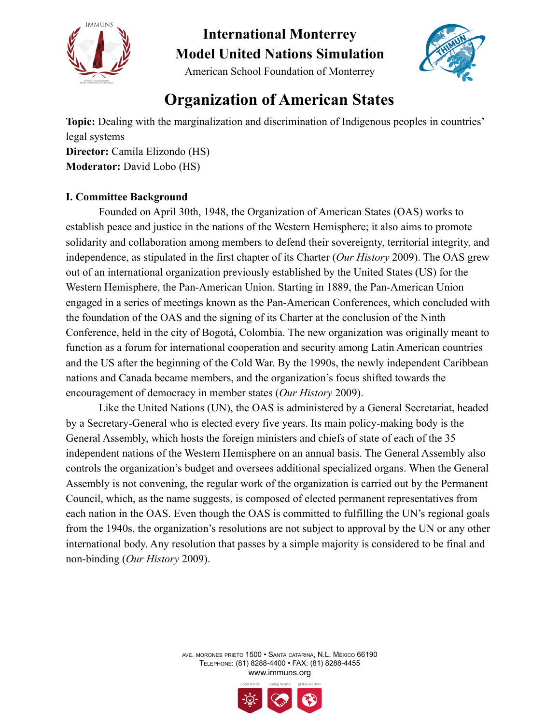



American School Foundation of Monterrey

## **Organization of American States**

**Topic:** Dealing with the marginalization and discrimination of Indigenous peoples in countries' legal systems **Director:** Camila Elizondo (HS) **Moderator:** David Lobo (HS)

### **I. Committee Background**

Founded on April 30th, 1948, the Organization of American States (OAS) works to establish peace and justice in the nations of the Western Hemisphere; it also aims to promote solidarity and collaboration among members to defend their sovereignty, territorial integrity, and independence, as stipulated in the first chapter of its Charter (*Our History* 2009). The OAS grew out of an international organization previously established by the United States (US) for the Western Hemisphere, the Pan-American Union. Starting in 1889, the Pan-American Union engaged in a series of meetings known as the Pan-American Conferences, which concluded with the foundation of the OAS and the signing of its Charter at the conclusion of the Ninth Conference, held in the city of Bogotá, Colombia. The new organization was originally meant to function as a forum for international cooperation and security among Latin American countries and the US after the beginning of the Cold War. By the 1990s, the newly independent Caribbean nations and Canada became members, and the organization's focus shifted towards the encouragement of democracy in member states (*Our History* 2009).

Like the United Nations (UN), the OAS is administered by a General Secretariat, headed by a Secretary-General who is elected every five years. Its main policy-making body is the General Assembly, which hosts the foreign ministers and chiefs of state of each of the 35 independent nations of the Western Hemisphere on an annual basis. The General Assembly also controls the organization's budget and oversees additional specialized organs. When the General Assembly is not convening, the regular work of the organization is carried out by the Permanent Council, which, as the name suggests, is composed of elected permanent representatives from each nation in the OAS. Even though the OAS is committed to fulfilling the UN's regional goals from the 1940s, the organization's resolutions are not subject to approval by the UN or any other international body. Any resolution that passes by a simple majority is considered to be final and non-binding (*Our History* 2009).

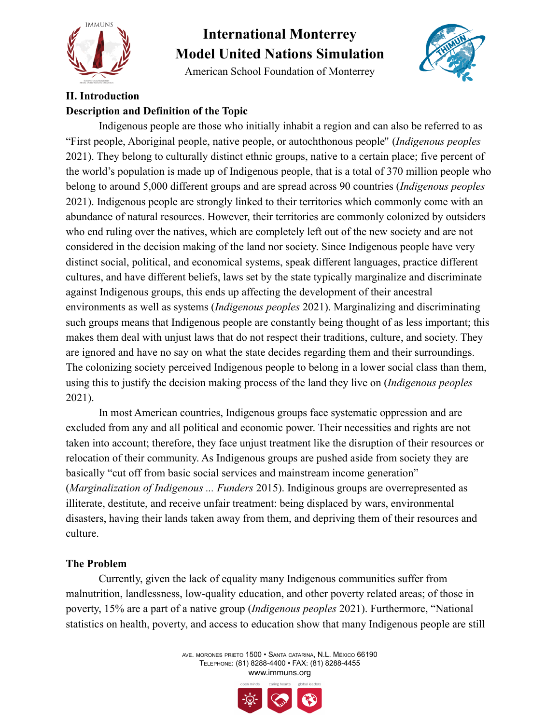

American School Foundation of Monterrey



### **II. Introduction Description and Definition of the Topic**

Indigenous people are those who initially inhabit a region and can also be referred to as "First people, Aboriginal people, native people, or autochthonous people'' (*Indigenous peoples* 2021). They belong to culturally distinct ethnic groups, native to a certain place; five percent of the world's population is made up of Indigenous people, that is a total of 370 million people who belong to around 5,000 different groups and are spread across 90 countries (*Indigenous peoples* 2021). Indigenous people are strongly linked to their territories which commonly come with an abundance of natural resources. However, their territories are commonly colonized by outsiders who end ruling over the natives, which are completely left out of the new society and are not considered in the decision making of the land nor society. Since Indigenous people have very distinct social, political, and economical systems, speak different languages, practice different cultures, and have different beliefs, laws set by the state typically marginalize and discriminate against Indigenous groups, this ends up affecting the development of their ancestral environments as well as systems (*Indigenous peoples* 2021). Marginalizing and discriminating such groups means that Indigenous people are constantly being thought of as less important; this makes them deal with unjust laws that do not respect their traditions, culture, and society. They are ignored and have no say on what the state decides regarding them and their surroundings. The colonizing society perceived Indigenous people to belong in a lower social class than them, using this to justify the decision making process of the land they live on (*Indigenous peoples* 2021).

In most American countries, Indigenous groups face systematic oppression and are excluded from any and all political and economic power. Their necessities and rights are not taken into account; therefore, they face unjust treatment like the disruption of their resources or relocation of their community. As Indigenous groups are pushed aside from society they are basically "cut off from basic social services and mainstream income generation" (*Marginalization of Indigenous ... Funders* 2015). Indiginous groups are overrepresented as illiterate, destitute, and receive unfair treatment: being displaced by wars, environmental disasters, having their lands taken away from them, and depriving them of their resources and culture.

### **The Problem**

Currently, given the lack of equality many Indigenous communities suffer from malnutrition, landlessness, low-quality education, and other poverty related areas; of those in poverty, 15% are a part of a native group (*Indigenous peoples* 2021). Furthermore, "National statistics on health, poverty, and access to education show that many Indigenous people are still

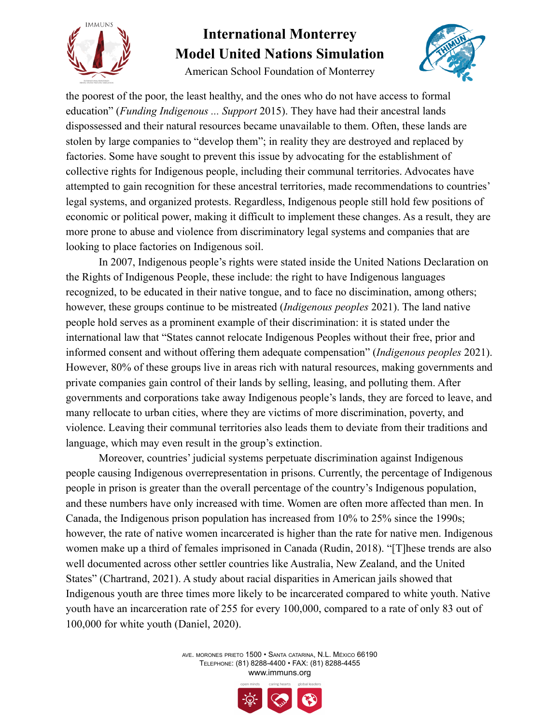

American School Foundation of Monterrey



the poorest of the poor, the least healthy, and the ones who do not have access to formal education" (*Funding Indigenous ... Support* 2015). They have had their ancestral lands dispossessed and their natural resources became unavailable to them. Often, these lands are stolen by large companies to "develop them"; in reality they are destroyed and replaced by factories. Some have sought to prevent this issue by advocating for the establishment of collective rights for Indigenous people, including their communal territories. Advocates have attempted to gain recognition for these ancestral territories, made recommendations to countries' legal systems, and organized protests. Regardless, Indigenous people still hold few positions of economic or political power, making it difficult to implement these changes. As a result, they are more prone to abuse and violence from discriminatory legal systems and companies that are looking to place factories on Indigenous soil.

In 2007, Indigenous people's rights were stated inside the United Nations Declaration on the Rights of Indigenous People, these include: the right to have Indigenous languages recognized, to be educated in their native tongue, and to face no discimination, among others; however, these groups continue to be mistreated (*Indigenous peoples* 2021). The land native people hold serves as a prominent example of their discrimination: it is stated under the international law that "States cannot relocate Indigenous Peoples without their free, prior and informed consent and without offering them adequate compensation" (*Indigenous peoples* 2021). However, 80% of these groups live in areas rich with natural resources, making governments and private companies gain control of their lands by selling, leasing, and polluting them. After governments and corporations take away Indigenous people's lands, they are forced to leave, and many rellocate to urban cities, where they are victims of more discrimination, poverty, and violence. Leaving their communal territories also leads them to deviate from their traditions and language, which may even result in the group's extinction.

Moreover, countries' judicial systems perpetuate discrimination against Indigenous people causing Indigenous overrepresentation in prisons. Currently, the percentage of Indigenous people in prison is greater than the overall percentage of the country's Indigenous population, and these numbers have only increased with time. Women are often more affected than men. In Canada, the Indigenous prison population has increased from 10% to 25% since the 1990s; however, the rate of native women incarcerated is higher than the rate for native men. Indigenous women make up a third of females imprisoned in Canada (Rudin, 2018). "[T]hese trends are also well documented across other settler countries like Australia, New Zealand, and the United States" (Chartrand, 2021). A study about racial disparities in American jails showed that Indigenous youth are three times more likely to be incarcerated compared to white youth. Native youth have an incarceration rate of 255 for every 100,000, compared to a rate of only 83 out of 100,000 for white youth (Daniel, 2020).

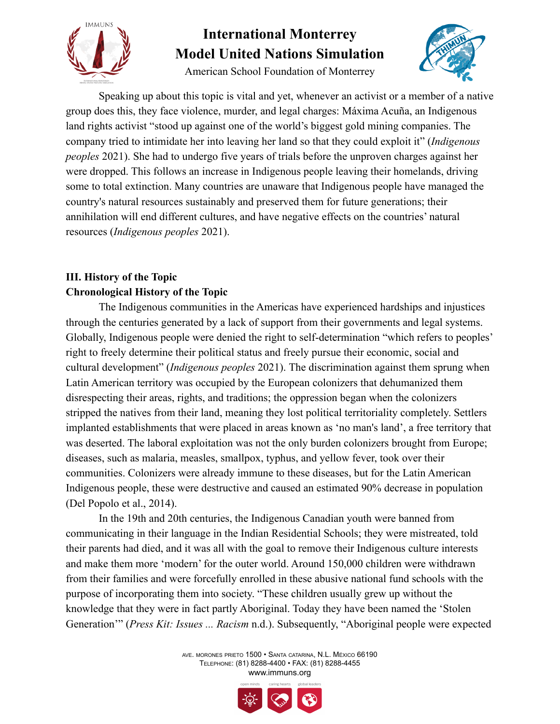

American School Foundation of Monterrey



Speaking up about this topic is vital and yet, whenever an activist or a member of a native group does this, they face violence, murder, and legal charges: Máxima Acuña, an Indigenous land rights activist "stood up against one of the world's biggest gold mining companies. The company tried to intimidate her into leaving her land so that they could exploit it" (*Indigenous peoples* 2021). She had to undergo five years of trials before the unproven charges against her were dropped. This follows an increase in Indigenous people leaving their homelands, driving some to total extinction. Many countries are unaware that Indigenous people have managed the country's natural resources sustainably and preserved them for future generations; their annihilation will end different cultures, and have negative effects on the countries' natural resources (*Indigenous peoples* 2021).

### **III. History of the Topic Chronological History of the Topic**

The Indigenous communities in the Americas have experienced hardships and injustices through the centuries generated by a lack of support from their governments and legal systems. Globally, Indigenous people were denied the right to self-determination "which refers to peoples' right to freely determine their political status and freely pursue their economic, social and cultural development" (*Indigenous peoples* 2021). The discrimination against them sprung when Latin American territory was occupied by the European colonizers that dehumanized them disrespecting their areas, rights, and traditions; the oppression began when the colonizers stripped the natives from their land, meaning they lost political territoriality completely. Settlers implanted establishments that were placed in areas known as 'no man's land', a free territory that was deserted. The laboral exploitation was not the only burden colonizers brought from Europe; diseases, such as malaria, measles, smallpox, typhus, and yellow fever, took over their communities. Colonizers were already immune to these diseases, but for the Latin American Indigenous people, these were destructive and caused an estimated 90% decrease in population (Del Popolo et al., 2014).

In the 19th and 20th centuries, the Indigenous Canadian youth were banned from communicating in their language in the Indian Residential Schools; they were mistreated, told their parents had died, and it was all with the goal to remove their Indigenous culture interests and make them more 'modern' for the outer world. Around 150,000 children were withdrawn from their families and were forcefully enrolled in these abusive national fund schools with the purpose of incorporating them into society. "These children usually grew up without the knowledge that they were in fact partly Aboriginal. Today they have been named the 'Stolen Generation'" (*Press Kit: Issues ... Racism* n.d.). Subsequently, "Aboriginal people were expected

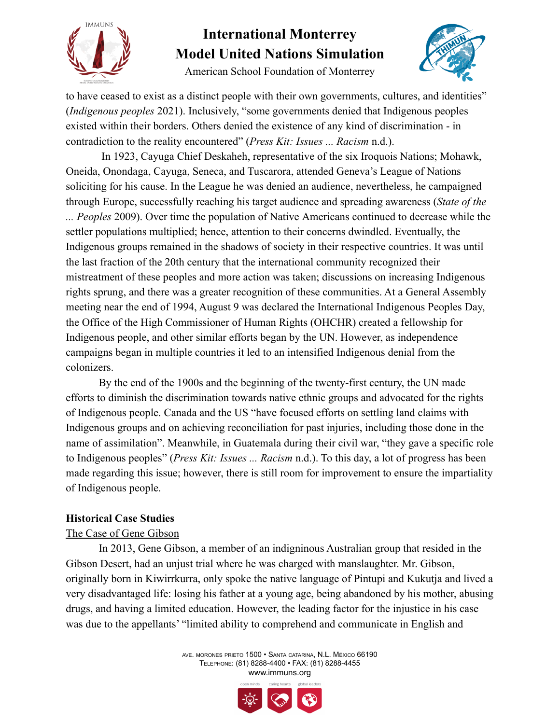

American School Foundation of Monterrey



to have ceased to exist as a distinct people with their own governments, cultures, and identities" (*Indigenous peoples* 2021). Inclusively, "some governments denied that Indigenous peoples existed within their borders. Others denied the existence of any kind of discrimination - in contradiction to the reality encountered" (*Press Kit: Issues ... Racism* n.d.).

In 1923, Cayuga Chief Deskaheh, representative of the six Iroquois Nations; Mohawk, Oneida, Onondaga, Cayuga, Seneca, and Tuscarora, attended Geneva's League of Nations soliciting for his cause. In the League he was denied an audience, nevertheless, he campaigned through Europe, successfully reaching his target audience and spreading awareness (*State of the ... Peoples* 2009). Over time the population of Native Americans continued to decrease while the settler populations multiplied; hence, attention to their concerns dwindled. Eventually, the Indigenous groups remained in the shadows of society in their respective countries. It was until the last fraction of the 20th century that the international community recognized their mistreatment of these peoples and more action was taken; discussions on increasing Indigenous rights sprung, and there was a greater recognition of these communities. At a General Assembly meeting near the end of 1994, August 9 was declared the International Indigenous Peoples Day, the Office of the High Commissioner of Human Rights (OHCHR) created a fellowship for Indigenous people, and other similar efforts began by the UN. However, as independence campaigns began in multiple countries it led to an intensified Indigenous denial from the colonizers.

By the end of the 1900s and the beginning of the twenty-first century, the UN made efforts to diminish the discrimination towards native ethnic groups and advocated for the rights of Indigenous people. Canada and the US "have focused efforts on settling land claims with Indigenous groups and on achieving reconciliation for past injuries, including those done in the name of assimilation". Meanwhile, in Guatemala during their civil war, "they gave a specific role to Indigenous peoples" (*Press Kit: Issues ... Racism* n.d.). To this day, a lot of progress has been made regarding this issue; however, there is still room for improvement to ensure the impartiality of Indigenous people.

### **Historical Case Studies**

#### The Case of Gene Gibson

In 2013, Gene Gibson, a member of an indigninous Australian group that resided in the Gibson Desert, had an unjust trial where he was charged with manslaughter. Mr. Gibson, originally born in Kiwirrkurra, only spoke the native language of Pintupi and Kukutja and lived a very disadvantaged life: losing his father at a young age, being abandoned by his mother, abusing drugs, and having a limited education. However, the leading factor for the injustice in his case was due to the appellants' "limited ability to comprehend and communicate in English and

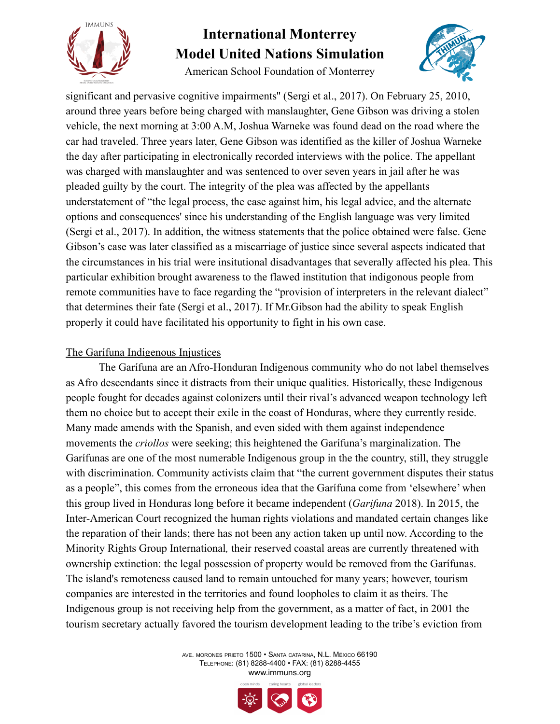

American School Foundation of Monterrey



significant and pervasive cognitive impairments'' (Sergi et al., 2017). On February 25, 2010, around three years before being charged with manslaughter, Gene Gibson was driving a stolen vehicle, the next morning at 3:00 A.M, Joshua Warneke was found dead on the road where the car had traveled. Three years later, Gene Gibson was identified as the killer of Joshua Warneke the day after participating in electronically recorded interviews with the police. The appellant was charged with manslaughter and was sentenced to over seven years in jail after he was pleaded guilty by the court. The integrity of the plea was affected by the appellants understatement of "the legal process, the case against him, his legal advice, and the alternate options and consequences' since his understanding of the English language was very limited (Sergi et al., 2017). In addition, the witness statements that the police obtained were false. Gene Gibson's case was later classified as a miscarriage of justice since several aspects indicated that the circumstances in his trial were insitutional disadvantages that severally affected his plea. This particular exhibition brought awareness to the flawed institution that indigonous people from remote communities have to face regarding the "provision of interpreters in the relevant dialect" that determines their fate (Sergi et al., 2017). If Mr.Gibson had the ability to speak English properly it could have facilitated his opportunity to fight in his own case.

#### The Garífuna Indigenous Injustices

The Garífuna are an Afro-Honduran Indigenous community who do not label themselves as Afro descendants since it distracts from their unique qualities. Historically, these Indigenous people fought for decades against colonizers until their rival's advanced weapon technology left them no choice but to accept their exile in the coast of Honduras, where they currently reside. Many made amends with the Spanish, and even sided with them against independence movements the *criollos* were seeking; this heightened the Garífuna's marginalization. The Garífunas are one of the most numerable Indigenous group in the the country, still, they struggle with discrimination. Community activists claim that "the current government disputes their status as a people", this comes from the erroneous idea that the Garífuna come from 'elsewhere' when this group lived in Honduras long before it became independent (*Garifuna* 2018). In 2015, the Inter-American Court recognized the human rights violations and mandated certain changes like the reparation of their lands; there has not been any action taken up until now. According to the Minority Rights Group International*,* their reserved coastal areas are currently threatened with ownership extinction: the legal possession of property would be removed from the Garífunas. The island's remoteness caused land to remain untouched for many years; however, tourism companies are interested in the territories and found loopholes to claim it as theirs. The Indigenous group is not receiving help from the government, as a matter of fact, in 2001 the tourism secretary actually favored the tourism development leading to the tribe's eviction from

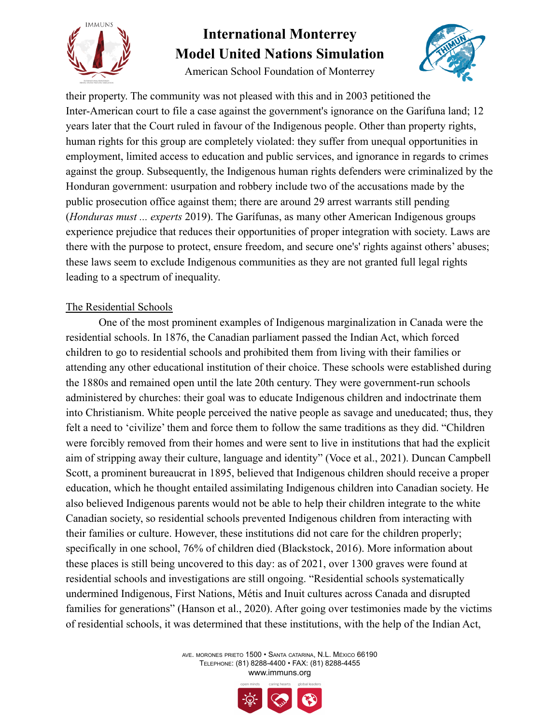

American School Foundation of Monterrey



their property. The community was not pleased with this and in 2003 petitioned the Inter-American court to file a case against the government's ignorance on the Garífuna land; 12 years later that the Court ruled in favour of the Indigenous people. Other than property rights, human rights for this group are completely violated: they suffer from unequal opportunities in employment, limited access to education and public services, and ignorance in regards to crimes against the group. Subsequently, the Indigenous human rights defenders were criminalized by the Honduran government: usurpation and robbery include two of the accusations made by the public prosecution office against them; there are around 29 arrest warrants still pending (*Honduras must ... experts* 2019). The Garífunas, as many other American Indigenous groups experience prejudice that reduces their opportunities of proper integration with society. Laws are there with the purpose to protect, ensure freedom, and secure one's' rights against others' abuses; these laws seem to exclude Indigenous communities as they are not granted full legal rights leading to a spectrum of inequality.

### The Residential Schools

One of the most prominent examples of Indigenous marginalization in Canada were the residential schools. In 1876, the Canadian parliament passed the Indian Act, which forced children to go to residential schools and prohibited them from living with their families or attending any other educational institution of their choice. These schools were established during the 1880s and remained open until the late 20th century. They were government-run schools administered by churches: their goal was to educate Indigenous children and indoctrinate them into Christianism. White people perceived the native people as savage and uneducated; thus, they felt a need to 'civilize' them and force them to follow the same traditions as they did. "Children were forcibly removed from their homes and were sent to live in institutions that had the explicit aim of stripping away their culture, language and identity" (Voce et al., 2021). Duncan Campbell Scott, a prominent bureaucrat in 1895, believed that Indigenous children should receive a proper education, which he thought entailed assimilating Indigenous children into Canadian society. He also believed Indigenous parents would not be able to help their children integrate to the white Canadian society, so residential schools prevented Indigenous children from interacting with their families or culture. However, these institutions did not care for the children properly; specifically in one school, 76% of children died (Blackstock, 2016). More information about these places is still being uncovered to this day: as of 2021, over 1300 graves were found at residential schools and investigations are still ongoing. "Residential schools systematically undermined Indigenous, First Nations, Métis and Inuit cultures across Canada and disrupted families for generations" (Hanson et al., 2020). After going over testimonies made by the victims of residential schools, it was determined that these institutions, with the help of the Indian Act,

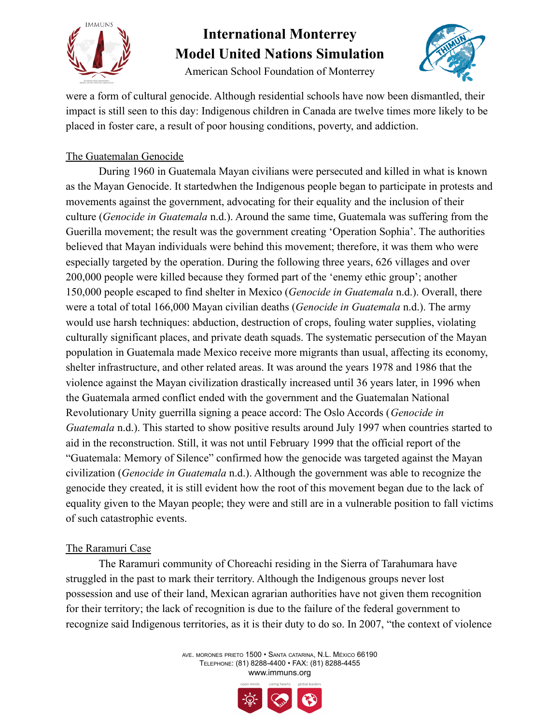

American School Foundation of Monterrey



were a form of cultural genocide. Although residential schools have now been dismantled, their impact is still seen to this day: Indigenous children in Canada are twelve times more likely to be placed in foster care, a result of poor housing conditions, poverty, and addiction.

### The Guatemalan Genocide

During 1960 in Guatemala Mayan civilians were persecuted and killed in what is known as the Mayan Genocide. It startedwhen the Indigenous people began to participate in protests and movements against the government, advocating for their equality and the inclusion of their culture (*Genocide in Guatemala* n.d.). Around the same time, Guatemala was suffering from the Guerilla movement; the result was the government creating 'Operation Sophia'. The authorities believed that Mayan individuals were behind this movement; therefore, it was them who were especially targeted by the operation. During the following three years, 626 villages and over 200,000 people were killed because they formed part of the 'enemy ethic group'; another 150,000 people escaped to find shelter in Mexico (*Genocide in Guatemala* n.d.). Overall, there were a total of total 166,000 Mayan civilian deaths (*Genocide in Guatemala* n.d.). The army would use harsh techniques: abduction, destruction of crops, fouling water supplies, violating culturally significant places, and private death squads. The systematic persecution of the Mayan population in Guatemala made Mexico receive more migrants than usual, affecting its economy, shelter infrastructure, and other related areas. It was around the years 1978 and 1986 that the violence against the Mayan civilization drastically increased until 36 years later, in 1996 when the Guatemala armed conflict ended with the government and the Guatemalan National Revolutionary Unity guerrilla signing a peace accord: The Oslo Accords (*Genocide in Guatemala* n.d.). This started to show positive results around July 1997 when countries started to aid in the reconstruction. Still, it was not until February 1999 that the official report of the "Guatemala: Memory of Silence" confirmed how the genocide was targeted against the Mayan civilization (*Genocide in Guatemala* n.d.). Although the government was able to recognize the genocide they created, it is still evident how the root of this movement began due to the lack of equality given to the Mayan people; they were and still are in a vulnerable position to fall victims of such catastrophic events.

### The Raramuri Case

The Raramuri community of Choreachi residing in the Sierra of Tarahumara have struggled in the past to mark their territory. Although the Indigenous groups never lost possession and use of their land, Mexican agrarian authorities have not given them recognition for their territory; the lack of recognition is due to the failure of the federal government to recognize said Indigenous territories, as it is their duty to do so. In 2007, "the context of violence

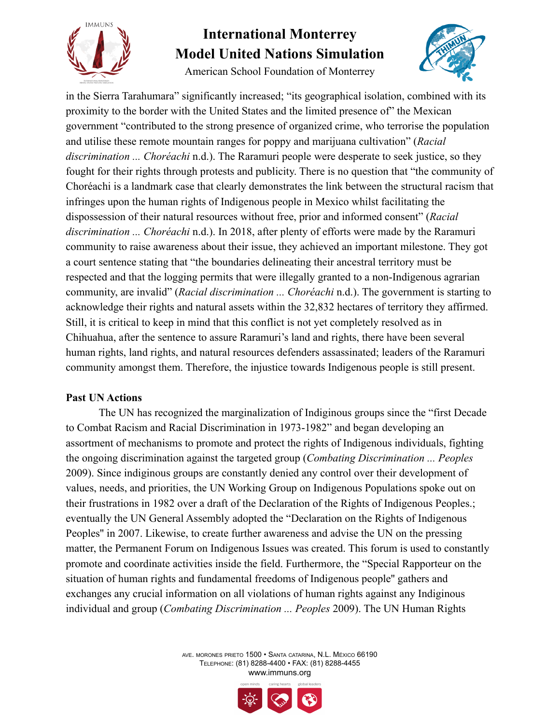

American School Foundation of Monterrey



in the Sierra Tarahumara" significantly increased; "its geographical isolation, combined with its proximity to the border with the United States and the limited presence of" the Mexican government "contributed to the strong presence of organized crime, who terrorise the population and utilise these remote mountain ranges for poppy and marijuana cultivation" (*Racial discrimination ... Choréachi* n.d.). The Raramuri people were desperate to seek justice, so they fought for their rights through protests and publicity. There is no question that "the community of Choréachi is a landmark case that clearly demonstrates the link between the structural racism that infringes upon the human rights of Indigenous people in Mexico whilst facilitating the dispossession of their natural resources without free, prior and informed consent" (*Racial discrimination ... Choréachi* n.d.). In 2018, after plenty of efforts were made by the Raramuri community to raise awareness about their issue, they achieved an important milestone. They got a court sentence stating that "the boundaries delineating their ancestral territory must be respected and that the logging permits that were illegally granted to a non-Indigenous agrarian community, are invalid" (*Racial discrimination ... Choréachi* n.d.). The government is starting to acknowledge their rights and natural assets within the 32,832 hectares of territory they affirmed. Still, it is critical to keep in mind that this conflict is not yet completely resolved as in Chihuahua, after the sentence to assure Raramuri's land and rights, there have been several human rights, land rights, and natural resources defenders assassinated; leaders of the Raramuri community amongst them. Therefore, the injustice towards Indigenous people is still present.

#### **Past UN Actions**

The UN has recognized the marginalization of Indiginous groups since the "first Decade to Combat Racism and Racial Discrimination in 1973-1982" and began developing an assortment of mechanisms to promote and protect the rights of Indigenous individuals, fighting the ongoing discrimination against the targeted group (*Combating Discrimination ... Peoples* 2009). Since indiginous groups are constantly denied any control over their development of values, needs, and priorities, the UN Working Group on Indigenous Populations spoke out on their frustrations in 1982 over a draft of the Declaration of the Rights of Indigenous Peoples.; eventually the UN General Assembly adopted the "Declaration on the Rights of Indigenous Peoples'' in 2007. Likewise, to create further awareness and advise the UN on the pressing matter, the Permanent Forum on Indigenous Issues was created. This forum is used to constantly promote and coordinate activities inside the field. Furthermore, the "Special Rapporteur on the situation of human rights and fundamental freedoms of Indigenous people'' gathers and exchanges any crucial information on all violations of human rights against any Indiginous individual and group (*Combating Discrimination ... Peoples* 2009). The UN Human Rights

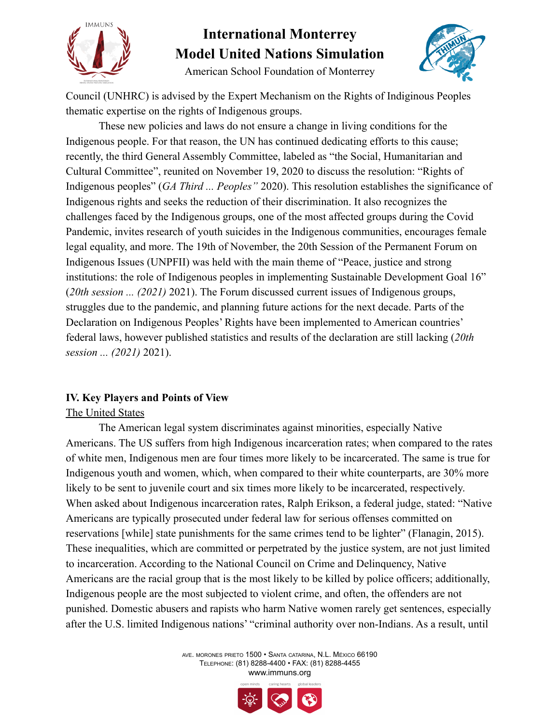



American School Foundation of Monterrey

Council (UNHRC) is advised by the Expert Mechanism on the Rights of Indiginous Peoples thematic expertise on the rights of Indigenous groups.

These new policies and laws do not ensure a change in living conditions for the Indigenous people. For that reason, the UN has continued dedicating efforts to this cause; recently, the third General Assembly Committee, labeled as "the Social, Humanitarian and Cultural Committee", reunited on November 19, 2020 to discuss the resolution: "Rights of Indigenous peoples" (*GA Third ... Peoples"* 2020). This resolution establishes the significance of Indigenous rights and seeks the reduction of their discrimination. It also recognizes the challenges faced by the Indigenous groups, one of the most affected groups during the Covid Pandemic, invites research of youth suicides in the Indigenous communities, encourages female legal equality, and more. The 19th of November, the 20th Session of the Permanent Forum on Indigenous Issues (UNPFII) was held with the main theme of "Peace, justice and strong institutions: the role of Indigenous peoples in implementing Sustainable Development Goal 16" (*20th session ... (2021)* 2021). The Forum discussed current issues of Indigenous groups, struggles due to the pandemic, and planning future actions for the next decade. Parts of the Declaration on Indigenous Peoples' Rights have been implemented to American countries' federal laws, however published statistics and results of the declaration are still lacking (*20th session ... (2021)* 2021).

### **IV. Key Players and Points of View**

#### The United States

The American legal system discriminates against minorities, especially Native Americans. The US suffers from high Indigenous incarceration rates; when compared to the rates of white men, Indigenous men are four times more likely to be incarcerated. The same is true for Indigenous youth and women, which, when compared to their white counterparts, are 30% more likely to be sent to juvenile court and six times more likely to be incarcerated, respectively. When asked about Indigenous incarceration rates, Ralph Erikson, a federal judge, stated: "Native Americans are typically prosecuted under federal law for serious offenses committed on reservations [while] state punishments for the same crimes tend to be lighter" (Flanagin, 2015). These inequalities, which are committed or perpetrated by the justice system, are not just limited to incarceration. According to the National Council on Crime and Delinquency, Native Americans are the racial group that is the most likely to be killed by police officers; additionally, Indigenous people are the most subjected to violent crime, and often, the offenders are not punished. Domestic abusers and rapists who harm Native women rarely get sentences, especially after the U.S. limited Indigenous nations' "criminal authority over non-Indians. As a result, until

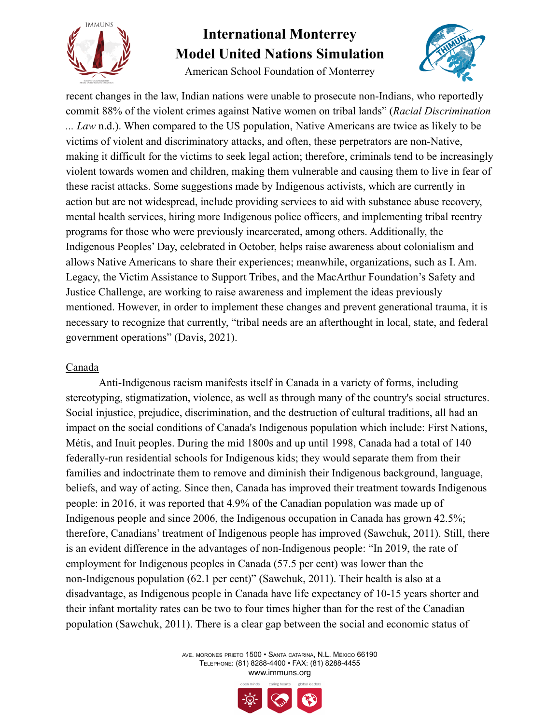

American School Foundation of Monterrey



recent changes in the law, Indian nations were unable to prosecute non-Indians, who reportedly commit 88% of the violent crimes against Native women on tribal lands" (*Racial Discrimination ... Law* n.d.). When compared to the US population, Native Americans are twice as likely to be victims of violent and discriminatory attacks, and often, these perpetrators are non-Native, making it difficult for the victims to seek legal action; therefore, criminals tend to be increasingly violent towards women and children, making them vulnerable and causing them to live in fear of these racist attacks. Some suggestions made by Indigenous activists, which are currently in action but are not widespread, include providing services to aid with substance abuse recovery, mental health services, hiring more Indigenous police officers, and implementing tribal reentry programs for those who were previously incarcerated, among others. Additionally, the Indigenous Peoples' Day, celebrated in October, helps raise awareness about colonialism and allows Native Americans to share their experiences; meanwhile, organizations, such as I. Am. Legacy, the Victim Assistance to Support Tribes, and the MacArthur Foundation's Safety and Justice Challenge, are working to raise awareness and implement the ideas previously mentioned. However, in order to implement these changes and prevent generational trauma, it is necessary to recognize that currently, "tribal needs are an afterthought in local, state, and federal government operations" (Davis, 2021).

### Canada

Anti-Indigenous racism manifests itself in Canada in a variety of forms, including stereotyping, stigmatization, violence, as well as through many of the country's social structures. Social injustice, prejudice, discrimination, and the destruction of cultural traditions, all had an impact on the social conditions of Canada's Indigenous population which include: First Nations, Métis, and Inuit peoples. During the mid 1800s and up until 1998, Canada had a total of 140 federally-run residential schools for Indigenous kids; they would separate them from their families and indoctrinate them to remove and diminish their Indigenous background, language, beliefs, and way of acting. Since then, Canada has improved their treatment towards Indigenous people: in 2016, it was reported that 4.9% of the Canadian population was made up of Indigenous people and since 2006, the Indigenous occupation in Canada has grown 42.5%; therefore, Canadians' treatment of Indigenous people has improved (Sawchuk, 2011). Still, there is an evident difference in the advantages of non-Indigenous people: "In 2019, the rate of employment for Indigenous peoples in Canada (57.5 per cent) was lower than the non-Indigenous population (62.1 per cent)" (Sawchuk, 2011). Their health is also at a disadvantage, as Indigenous people in Canada have life expectancy of 10-15 years shorter and their infant mortality rates can be two to four times higher than for the rest of the Canadian population (Sawchuk, 2011). There is a clear gap between the social and economic status of

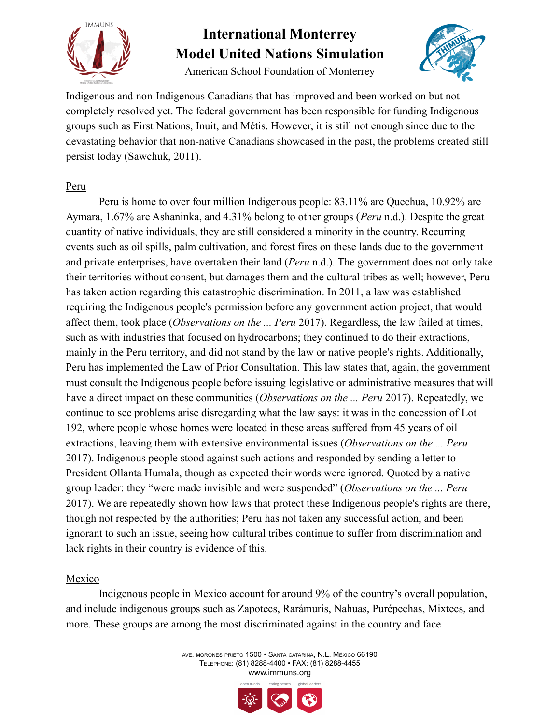

American School Foundation of Monterrey



Indigenous and non-Indigenous Canadians that has improved and been worked on but not completely resolved yet. The federal government has been responsible for funding Indigenous groups such as First Nations, Inuit, and Métis. However, it is still not enough since due to the devastating behavior that non-native Canadians showcased in the past, the problems created still persist today (Sawchuk, 2011).

#### Peru

Peru is home to over four million Indigenous people: 83.11% are Quechua, 10.92% are Aymara, 1.67% are Ashaninka, and 4.31% belong to other groups (*Peru* n.d.). Despite the great quantity of native individuals, they are still considered a minority in the country. Recurring events such as oil spills, palm cultivation, and forest fires on these lands due to the government and private enterprises, have overtaken their land (*Peru* n.d.). The government does not only take their territories without consent, but damages them and the cultural tribes as well; however, Peru has taken action regarding this catastrophic discrimination. In 2011, a law was established requiring the Indigenous people's permission before any government action project, that would affect them, took place (*Observations on the ... Peru* 2017). Regardless, the law failed at times, such as with industries that focused on hydrocarbons; they continued to do their extractions, mainly in the Peru territory, and did not stand by the law or native people's rights. Additionally, Peru has implemented the Law of Prior Consultation. This law states that, again, the government must consult the Indigenous people before issuing legislative or administrative measures that will have a direct impact on these communities (*Observations on the ... Peru* 2017). Repeatedly, we continue to see problems arise disregarding what the law says: it was in the concession of Lot 192, where people whose homes were located in these areas suffered from 45 years of oil extractions, leaving them with extensive environmental issues (*Observations on the ... Peru* 2017). Indigenous people stood against such actions and responded by sending a letter to President Ollanta Humala, though as expected their words were ignored. Quoted by a native group leader: they "were made invisible and were suspended" (*Observations on the ... Peru* 2017). We are repeatedly shown how laws that protect these Indigenous people's rights are there, though not respected by the authorities; Peru has not taken any successful action, and been ignorant to such an issue, seeing how cultural tribes continue to suffer from discrimination and lack rights in their country is evidence of this.

### Mexico

Indigenous people in Mexico account for around 9% of the country's overall population, and include indigenous groups such as Zapotecs, Rarámuris, Nahuas, Purépechas, Mixtecs, and more. These groups are among the most discriminated against in the country and face

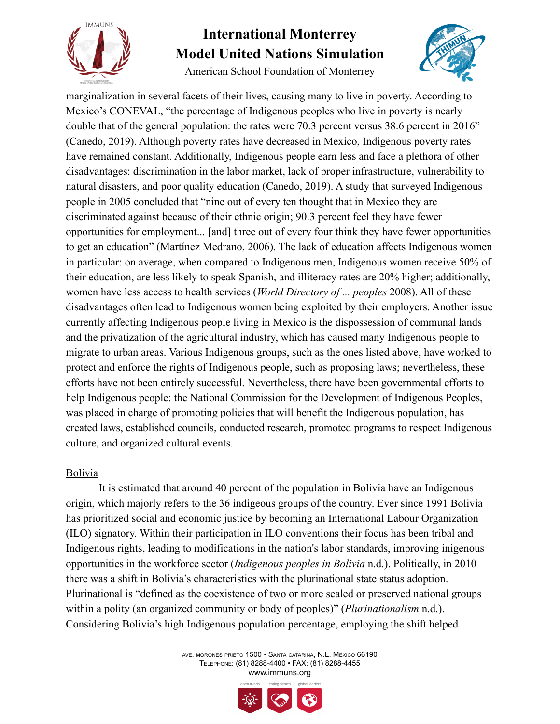

American School Foundation of Monterrey



marginalization in several facets of their lives, causing many to live in poverty. According to Mexico's CONEVAL, "the percentage of Indigenous peoples who live in poverty is nearly double that of the general population: the rates were 70.3 percent versus 38.6 percent in 2016" (Canedo, 2019). Although poverty rates have decreased in Mexico, Indigenous poverty rates have remained constant. Additionally, Indigenous people earn less and face a plethora of other disadvantages: discrimination in the labor market, lack of proper infrastructure, vulnerability to natural disasters, and poor quality education (Canedo, 2019). A study that surveyed Indigenous people in 2005 concluded that "nine out of every ten thought that in Mexico they are discriminated against because of their ethnic origin; 90.3 percent feel they have fewer opportunities for employment... [and] three out of every four think they have fewer opportunities to get an education" (Martínez Medrano, 2006). The lack of education affects Indigenous women in particular: on average, when compared to Indigenous men, Indigenous women receive 50% of their education, are less likely to speak Spanish, and illiteracy rates are 20% higher; additionally, women have less access to health services (*World Directory of ... peoples* 2008). All of these disadvantages often lead to Indigenous women being exploited by their employers. Another issue currently affecting Indigenous people living in Mexico is the dispossession of communal lands and the privatization of the agricultural industry, which has caused many Indigenous people to migrate to urban areas. Various Indigenous groups, such as the ones listed above, have worked to protect and enforce the rights of Indigenous people, such as proposing laws; nevertheless, these efforts have not been entirely successful. Nevertheless, there have been governmental efforts to help Indigenous people: the National Commission for the Development of Indigenous Peoples, was placed in charge of promoting policies that will benefit the Indigenous population, has created laws, established councils, conducted research, promoted programs to respect Indigenous culture, and organized cultural events.

### Bolivia

It is estimated that around 40 percent of the population in Bolivia have an Indigenous origin, which majorly refers to the 36 indigeous groups of the country. Ever since 1991 Bolivia has prioritized social and economic justice by becoming an International Labour Organization (ILO) signatory. Within their participation in ILO conventions their focus has been tribal and Indigenous rights, leading to modifications in the nation's labor standards, improving inigenous opportunities in the workforce sector (*Indigenous peoples in Bolivia* n.d.). Politically, in 2010 there was a shift in Bolivia's characteristics with the plurinational state status adoption. Plurinational is "defined as the coexistence of two or more sealed or preserved national groups within a polity (an organized community or body of peoples)" (*Plurinationalism* n.d.). Considering Bolivia's high Indigenous population percentage, employing the shift helped

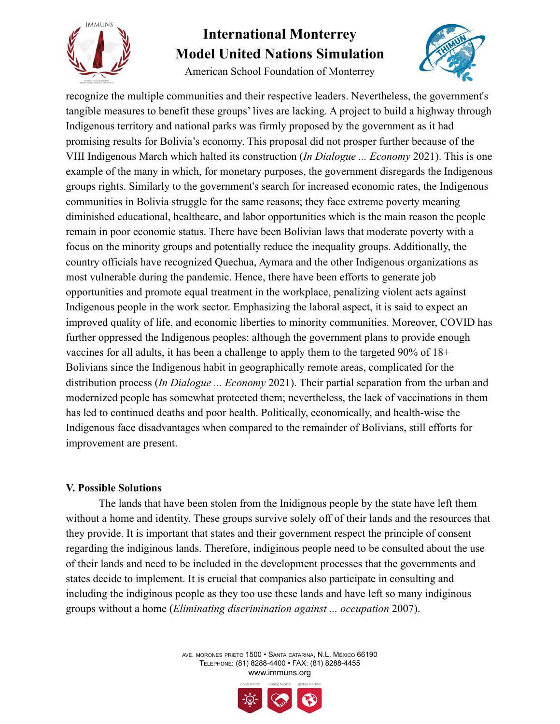

American School Foundation of Monterrey



recognize the multiple communities and their respective leaders. Nevertheless, the government's tangible measures to benefit these groups' lives are lacking. A project to build a highway through Indigenous territory and national parks was firmly proposed by the government as it had promising results for Bolivia's economy. This proposal did not prosper further because of the VIII Indigenous March which halted its construction (*In Dialogue ... Economy* 2021). This is one example of the many in which, for monetary purposes, the government disregards the Indigenous groups rights. Similarly to the government's search for increased economic rates, the Indigenous communities in Bolivia struggle for the same reasons; they face extreme poverty meaning diminished educational, healthcare, and labor opportunities which is the main reason the people remain in poor economic status. There have been Bolivian laws that moderate poverty with a focus on the minority groups and potentially reduce the inequality groups. Additionally, the country officials have recognized Quechua, Aymara and the other Indigenous organizations as most vulnerable during the pandemic. Hence, there have been efforts to generate job opportunities and promote equal treatment in the workplace, penalizing violent acts against Indigenous people in the work sector. Emphasizing the laboral aspect, it is said to expect an improved quality of life, and economic liberties to minority communities. Moreover, COVID has further oppressed the Indigenous peoples: although the government plans to provide enough vaccines for all adults, it has been a challenge to apply them to the targeted 90% of 18+ Bolivians since the Indigenous habit in geographically remote areas, complicated for the distribution process (*In Dialogue ... Economy* 2021). Their partial separation from the urban and modernized people has somewhat protected them; nevertheless, the lack of vaccinations in them has led to continued deaths and poor health. Politically, economically, and health-wise the Indigenous face disadvantages when compared to the remainder of Bolivians, still efforts for improvement are present.

#### **V. Possible Solutions**

The lands that have been stolen from the Inidignous people by the state have left them without a home and identity. These groups survive solely off of their lands and the resources that they provide. It is important that states and their government respect the principle of consent regarding the indiginous lands. Therefore, indiginous people need to be consulted about the use of their lands and need to be included in the development processes that the governments and states decide to implement. It is crucial that companies also participate in consulting and including the indiginous people as they too use these lands and have left so many indiginous groups without a home (*Eliminating discrimination against ... occupation* 2007).

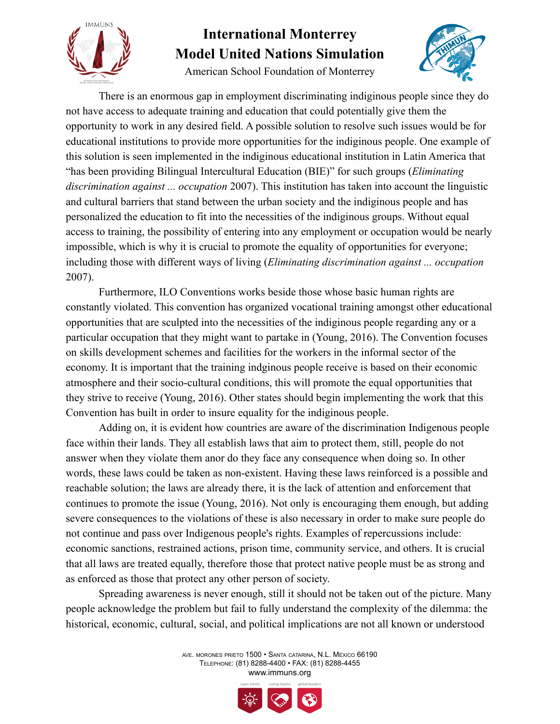

American School Foundation of Monterrey



There is an enormous gap in employment discriminating indiginous people since they do not have access to adequate training and education that could potentially give them the opportunity to work in any desired field. A possible solution to resolve such issues would be for educational institutions to provide more opportunities for the indiginous people. One example of this solution is seen implemented in the indiginous educational institution in Latin America that "has been providing Bilingual Intercultural Education (BIE)" for such groups (*Eliminating discrimination against ... occupation* 2007). This institution has taken into account the linguistic and cultural barriers that stand between the urban society and the indiginous people and has personalized the education to fit into the necessities of the indiginous groups. Without equal access to training, the possibility of entering into any employment or occupation would be nearly impossible, which is why it is crucial to promote the equality of opportunities for everyone; including those with different ways of living (*Eliminating discrimination against ... occupation* 2007).

Furthermore, ILO Conventions works beside those whose basic human rights are constantly violated. This convention has organized vocational training amongst other educational opportunities that are sculpted into the necessities of the indiginous people regarding any or a particular occupation that they might want to partake in (Young, 2016). The Convention focuses on skills development schemes and facilities for the workers in the informal sector of the economy. It is important that the training indginous people receive is based on their economic atmosphere and their socio-cultural conditions, this will promote the equal opportunities that they strive to receive (Young, 2016). Other states should begin implementing the work that this Convention has built in order to insure equality for the indiginous people.

Adding on, it is evident how countries are aware of the discrimination Indigenous people face within their lands. They all establish laws that aim to protect them, still, people do not answer when they violate them anor do they face any consequence when doing so. In other words, these laws could be taken as non-existent. Having these laws reinforced is a possible and reachable solution; the laws are already there, it is the lack of attention and enforcement that continues to promote the issue (Young, 2016). Not only is encouraging them enough, but adding severe consequences to the violations of these is also necessary in order to make sure people do not continue and pass over Indigenous people's rights. Examples of repercussions include: economic sanctions, restrained actions, prison time, community service, and others. It is crucial that all laws are treated equally, therefore those that protect native people must be as strong and as enforced as those that protect any other person of society.

Spreading awareness is never enough, still it should not be taken out of the picture. Many people acknowledge the problem but fail to fully understand the complexity of the dilemma: the historical, economic, cultural, social, and political implications are not all known or understood

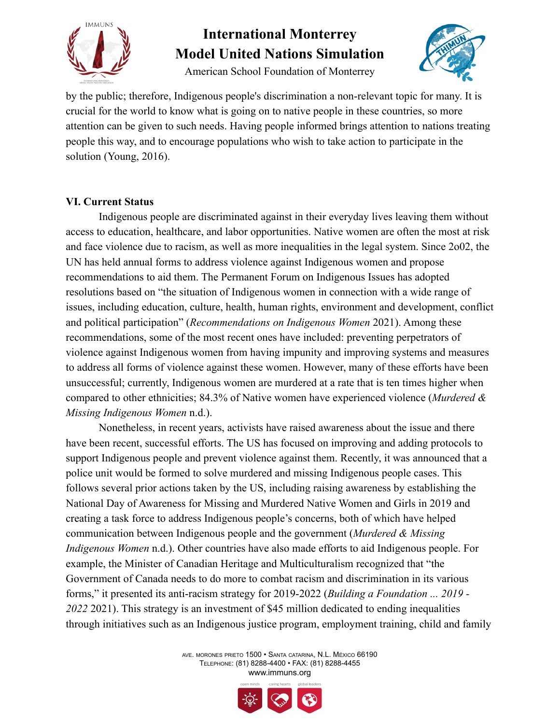

American School Foundation of Monterrey



by the public; therefore, Indigenous people's discrimination a non-relevant topic for many. It is crucial for the world to know what is going on to native people in these countries, so more attention can be given to such needs. Having people informed brings attention to nations treating people this way, and to encourage populations who wish to take action to participate in the solution (Young, 2016).

### **VI. Current Status**

Indigenous people are discriminated against in their everyday lives leaving them without access to education, healthcare, and labor opportunities. Native women are often the most at risk and face violence due to racism, as well as more inequalities in the legal system. Since 2o02, the UN has held annual forms to address violence against Indigenous women and propose recommendations to aid them. The Permanent Forum on Indigenous Issues has adopted resolutions based on "the situation of Indigenous women in connection with a wide range of issues, including education, culture, health, human rights, environment and development, conflict and political participation" (*Recommendations on Indigenous Women* 2021). Among these recommendations, some of the most recent ones have included: preventing perpetrators of violence against Indigenous women from having impunity and improving systems and measures to address all forms of violence against these women. However, many of these efforts have been unsuccessful; currently, Indigenous women are murdered at a rate that is ten times higher when compared to other ethnicities; 84.3% of Native women have experienced violence (*Murdered & Missing Indigenous Women* n.d.).

Nonetheless, in recent years, activists have raised awareness about the issue and there have been recent, successful efforts. The US has focused on improving and adding protocols to support Indigenous people and prevent violence against them. Recently, it was announced that a police unit would be formed to solve murdered and missing Indigenous people cases. This follows several prior actions taken by the US, including raising awareness by establishing the National Day of Awareness for Missing and Murdered Native Women and Girls in 2019 and creating a task force to address Indigenous people's concerns, both of which have helped communication between Indigenous people and the government (*Murdered & Missing Indigenous Women* n.d.). Other countries have also made efforts to aid Indigenous people. For example, the Minister of Canadian Heritage and Multiculturalism recognized that "the Government of Canada needs to do more to combat racism and discrimination in its various forms," it presented its anti-racism strategy for 2019-2022 (*Building a Foundation ... 2019 - 2022* 2021). This strategy is an investment of \$45 million dedicated to ending inequalities through initiatives such as an Indigenous justice program, employment training, child and family

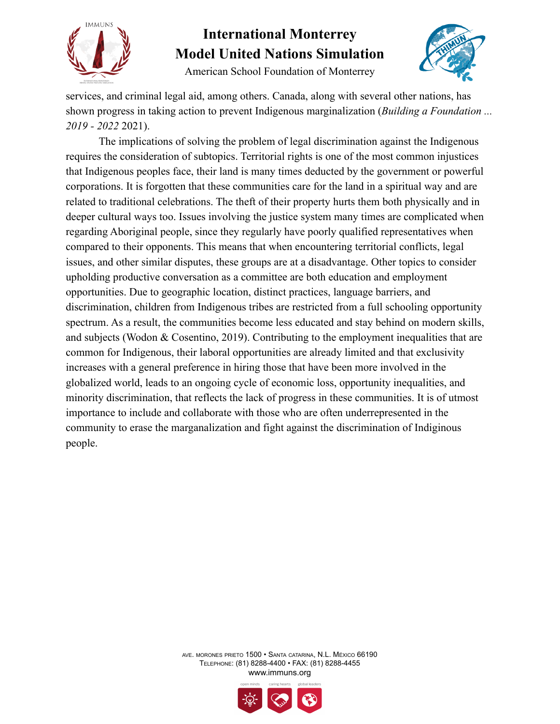

American School Foundation of Monterrey



services, and criminal legal aid, among others. Canada, along with several other nations, has shown progress in taking action to prevent Indigenous marginalization (*Building a Foundation ... 2019 - 2022* 2021).

The implications of solving the problem of legal discrimination against the Indigenous requires the consideration of subtopics. Territorial rights is one of the most common injustices that Indigenous peoples face, their land is many times deducted by the government or powerful corporations. It is forgotten that these communities care for the land in a spiritual way and are related to traditional celebrations. The theft of their property hurts them both physically and in deeper cultural ways too. Issues involving the justice system many times are complicated when regarding Aboriginal people, since they regularly have poorly qualified representatives when compared to their opponents. This means that when encountering territorial conflicts, legal issues, and other similar disputes, these groups are at a disadvantage. Other topics to consider upholding productive conversation as a committee are both education and employment opportunities. Due to geographic location, distinct practices, language barriers, and discrimination, children from Indigenous tribes are restricted from a full schooling opportunity spectrum. As a result, the communities become less educated and stay behind on modern skills, and subjects (Wodon & Cosentino, 2019). Contributing to the employment inequalities that are common for Indigenous, their laboral opportunities are already limited and that exclusivity increases with a general preference in hiring those that have been more involved in the globalized world, leads to an ongoing cycle of economic loss, opportunity inequalities, and minority discrimination, that reflects the lack of progress in these communities. It is of utmost importance to include and collaborate with those who are often underrepresented in the community to erase the marganalization and fight against the discrimination of Indiginous people.

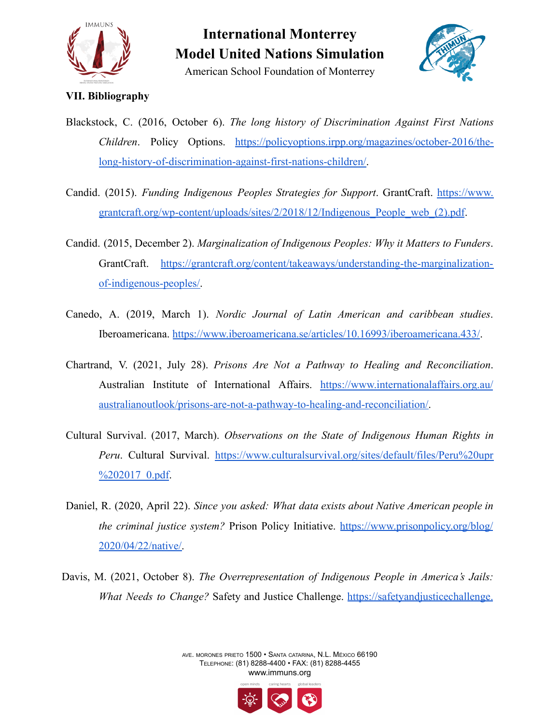

American School Foundation of Monterrey



### **VII. Bibliography**

- Blackstock, C. (2016, October 6). *The long history of Discrimination Against First Nations Children*. Policy Options. [https://policyoptions.irpp.org/magazines/october-2016/the](https://policyoptions.irpp.org/magazines/october-2016/the-long-history-of-discrimination-against-first-nations-children/)[long-history-of-discrimination-against-first-nations-children/.](https://policyoptions.irpp.org/magazines/october-2016/the-long-history-of-discrimination-against-first-nations-children/)
- Candid. (2015). *Funding Indigenous Peoples Strategies for Support*. GrantCraft. [https://www.](https://www.grantcraft.org/wp-content/uploads/sites/2/2018/12/Indigenous_People_web_(2).pdf) [grantcraft.org/wp-content/uploads/sites/2/2018/12/Indigenous\\_People\\_web\\_\(2\).pdf](https://www.grantcraft.org/wp-content/uploads/sites/2/2018/12/Indigenous_People_web_(2).pdf).
- Candid. (2015, December 2). *Marginalization of Indigenous Peoples: Why it Matters to Funders*. GrantCraft. [https://grantcraft.org/content/takeaways/understanding-the-marginalization](https://grantcraft.org/content/takeaways/understanding-the-marginalization-of-indigenous-peoples/)[of-indigenous-peoples/.](https://grantcraft.org/content/takeaways/understanding-the-marginalization-of-indigenous-peoples/)
- Canedo, A. (2019, March 1). *Nordic Journal of Latin American and caribbean studies*. Iberoamericana. <https://www.iberoamericana.se/articles/10.16993/iberoamericana.433/>.
- Chartrand, V. (2021, July 28). *Prisons Are Not a Pathway to Healing and Reconciliation*. Australian Institute of International Affairs. [https://www.internationalaffairs.org.au/](https://www.internationalaffairs.org.au/australianoutlook/prisons-are-not-a-pathway-to-healing-and-reconciliation/) [australianoutlook/prisons-are-not-a-pathway-to-healing-and-reconciliation/.](https://www.internationalaffairs.org.au/australianoutlook/prisons-are-not-a-pathway-to-healing-and-reconciliation/)
- Cultural Survival. (2017, March). *Observations on the State of Indigenous Human Rights in Peru*. Cultural Survival. [https://www.culturalsurvival.org/sites/default/files/Peru%20upr](https://www.culturalsurvival.org/sites/default/files/Peru%20upr%202017_0.pdf) [%202017\\_0.pdf.](https://www.culturalsurvival.org/sites/default/files/Peru%20upr%202017_0.pdf)
- Daniel, R. (2020, April 22). *Since you asked: What data exists about Native American people in the criminal justice system?* Prison Policy Initiative. [https://www.prisonpolicy.org/blog/](https://www.prisonpolicy.org/blog/2020/04/22/native/) [2020/04/22/native/.](https://www.prisonpolicy.org/blog/2020/04/22/native/)
- Davis, M. (2021, October 8). *The Overrepresentation of Indigenous People in America's Jails: What Needs to Change?* Safety and Justice Challenge. [https://safetyandjusticechallenge.](https://safetyandjusticechallenge.org/blog/the-overrepresentation-of-indigenous-people-in-americas-jails-what-needs-to-change/)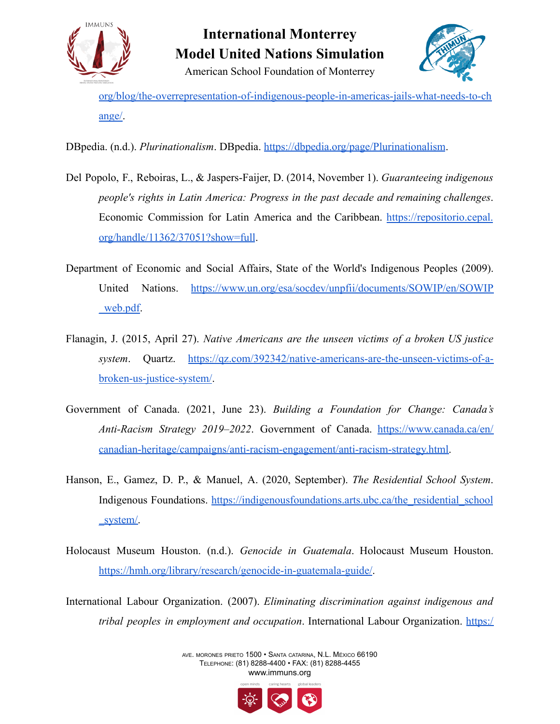

American School Foundation of Monterrey



[org/blog/the-overrepresentation-of-indigenous-people-in-americas-jails-what-needs-to-ch](https://safetyandjusticechallenge.org/blog/the-overrepresentation-of-indigenous-people-in-americas-jails-what-needs-to-change/) [ange/.](https://safetyandjusticechallenge.org/blog/the-overrepresentation-of-indigenous-people-in-americas-jails-what-needs-to-change/)

DBpedia. (n.d.). *Plurinationalism*. DBpedia. <https://dbpedia.org/page/Plurinationalism>.

- Del Popolo, F., Reboiras, L., & Jaspers-Faijer, D. (2014, November 1). *Guaranteeing indigenous people's rights in Latin America: Progress in the past decade and remaining challenges*. Economic Commission for Latin America and the Caribbean. [https://repositorio.cepal.](https://repositorio.cepal.org/handle/11362/37051?show=full) [org/handle/11362/37051?show=full](https://repositorio.cepal.org/handle/11362/37051?show=full).
- Department of Economic and Social Affairs, State of the World's Indigenous Peoples (2009). United Nations. [https://www.un.org/esa/socdev/unpfii/documents/SOWIP/en/SOWIP](https://www.un.org/esa/socdev/unpfii/documents/SOWIP/en/SOWIP_web.pdf) [\\_web.pdf.](https://www.un.org/esa/socdev/unpfii/documents/SOWIP/en/SOWIP_web.pdf)
- Flanagin, J. (2015, April 27). *Native Americans are the unseen victims of a broken US justice system*. Quartz. [https://qz.com/392342/native-americans-are-the-unseen-victims-of-a](https://qz.com/392342/native-americans-are-the-unseen-victims-of-a-broken-us-justice-system/)[broken-us-justice-system/.](https://qz.com/392342/native-americans-are-the-unseen-victims-of-a-broken-us-justice-system/)
- Government of Canada. (2021, June 23). *Building a Foundation for Change: Canada's Anti-Racism Strategy 2019–2022*. Government of Canada. [https://www.canada.ca/en/](https://www.canada.ca/en/canadian-heritage/campaigns/anti-racism-engagement/anti-racism-strategy.html) [canadian-heritage/campaigns/anti-racism-engagement/anti-racism-strategy.html.](https://www.canada.ca/en/canadian-heritage/campaigns/anti-racism-engagement/anti-racism-strategy.html)
- Hanson, E., Gamez, D. P., & Manuel, A. (2020, September). *The Residential School System*. Indigenous Foundations. [https://indigenousfoundations.arts.ubc.ca/the\\_residential\\_school](https://indigenousfoundations.arts.ubc.ca/the_residential_school_system/) [\\_system/.](https://indigenousfoundations.arts.ubc.ca/the_residential_school_system/)
- Holocaust Museum Houston. (n.d.). *Genocide in Guatemala*. Holocaust Museum Houston. <https://hmh.org/library/research/genocide-in-guatemala-guide/>.
- International Labour Organization. (2007). *Eliminating discrimination against indigenous and tribal peoples in employment and occupation*. International Labour Organization. [https:/](https://www.ilo.org/wcmsp5/groups/public/---ed_norm/---normes/documents/publication/wcms_097727.pdf)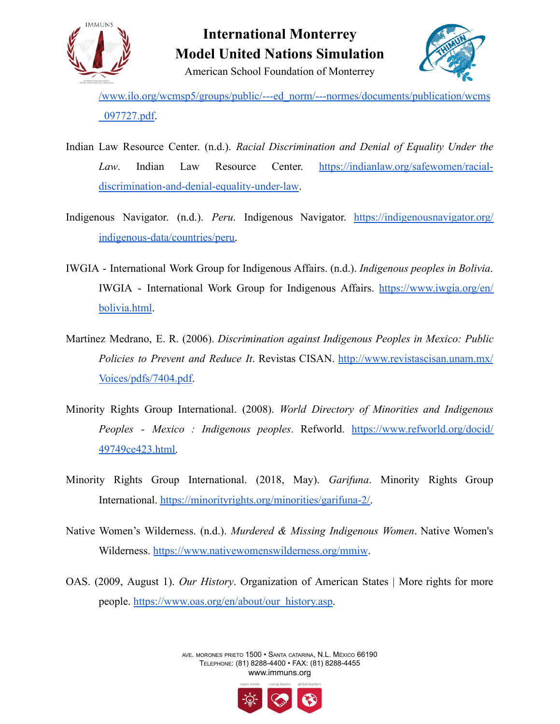

**International Monterrey Model United Nations Simulation** American School Foundation of Monterrey



[/www.ilo.org/wcmsp5/groups/public/---ed\\_norm/---normes/documents/publication/wcms](https://www.ilo.org/wcmsp5/groups/public/---ed_norm/---normes/documents/publication/wcms_097727.pdf) [\\_097727.pdf.](https://www.ilo.org/wcmsp5/groups/public/---ed_norm/---normes/documents/publication/wcms_097727.pdf)

- Indian Law Resource Center. (n.d.). *Racial Discrimination and Denial of Equality Under the Law*. Indian Law Resource Center. [https://indianlaw.org/safewomen/racial](https://indianlaw.org/safewomen/racial-discrimination-and-denial-equality-under-law)[discrimination-and-denial-equality-under-law](https://indianlaw.org/safewomen/racial-discrimination-and-denial-equality-under-law).
- Indigenous Navigator. (n.d.). *Peru*. Indigenous Navigator. [https://indigenousnavigator.org/](https://indigenousnavigator.org/indigenous-data/countries/peru) [indigenous-data/countries/peru.](https://indigenousnavigator.org/indigenous-data/countries/peru)
- IWGIA International Work Group for Indigenous Affairs. (n.d.). *Indigenous peoples in Bolivia*. IWGIA - International Work Group for Indigenous Affairs. [https://www.iwgia.org/en/](https://www.iwgia.org/en/bolivia.html) [bolivia.html](https://www.iwgia.org/en/bolivia.html).
- Martínez Medrano, E. R. (2006). *Discrimination against Indigenous Peoples in Mexico: Public Policies to Prevent and Reduce It*. Revistas CISAN. [http://www.revistascisan.unam.mx/](http://www.revistascisan.unam.mx/Voices/pdfs/7404.pdf) [Voices/pdfs/7404.pdf](http://www.revistascisan.unam.mx/Voices/pdfs/7404.pdf).
- Minority Rights Group International. (2008). *World Directory of Minorities and Indigenous Peoples - Mexico : Indigenous peoples*. Refworld. [https://www.refworld.org/docid/](https://www.refworld.org/docid/49749ce423.html) [49749ce423.html.](https://www.refworld.org/docid/49749ce423.html)
- Minority Rights Group International. (2018, May). *Garifuna*. Minority Rights Group International. [https://minorityrights.org/minorities/garifuna-2/.](https://minorityrights.org/minorities/garifuna-2/)
- Native Women's Wilderness. (n.d.). *Murdered & Missing Indigenous Women*. Native Women's Wilderness. <https://www.nativewomenswilderness.org/mmiw>.
- OAS. (2009, August 1). *Our History*. Organization of American States | More rights for more people. [https://www.oas.org/en/about/our\\_history.asp.](https://www.oas.org/en/about/our_history.asp)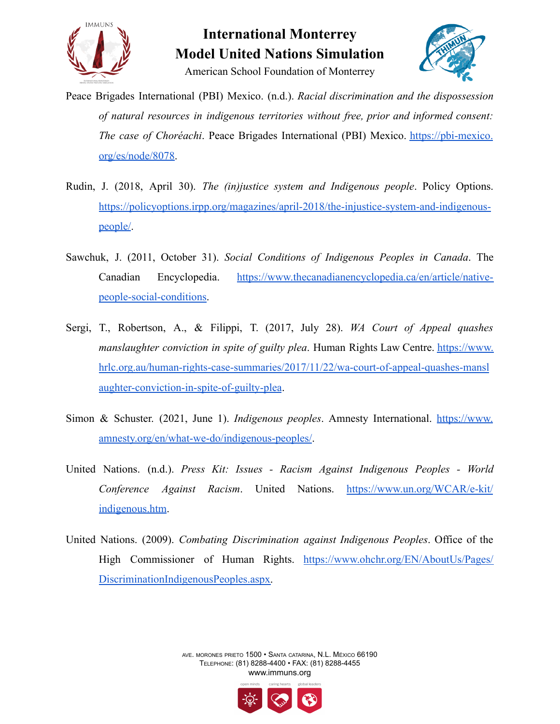



American School Foundation of Monterrey

- Peace Brigades International (PBI) Mexico. (n.d.). *Racial discrimination and the dispossession of natural resources in indigenous territories without free, prior and informed consent: The case of Choréachi*. Peace Brigades International (PBI) Mexico. [https://pbi-mexico.](https://pbi-mexico.org/es/node/8078) [org/es/node/8078](https://pbi-mexico.org/es/node/8078).
- Rudin, J. (2018, April 30). *The (in)justice system and Indigenous people*. Policy Options. [https://policyoptions.irpp.org/magazines/april-2018/the-injustice-system-and-indigenous](https://policyoptions.irpp.org/magazines/april-2018/the-injustice-system-and-indigenous-people/)[people/](https://policyoptions.irpp.org/magazines/april-2018/the-injustice-system-and-indigenous-people/).
- Sawchuk, J. (2011, October 31). *Social Conditions of Indigenous Peoples in Canada*. The Canadian Encyclopedia. [https://www.thecanadianencyclopedia.ca/en/article/native](https://www.thecanadianencyclopedia.ca/en/article/native-people-social-conditions)[people-social-conditions.](https://www.thecanadianencyclopedia.ca/en/article/native-people-social-conditions)
- Sergi, T., Robertson, A., & Filippi, T. (2017, July 28). *WA Court of Appeal quashes manslaughter conviction in spite of guilty plea*. Human Rights Law Centre. [https://www.](https://www.hrlc.org.au/human-rights-case-summaries/2017/11/22/wa-court-of-appeal-quashes-manslaughter-conviction-in-spite-of-guilty-plea) [hrlc.org.au/human-rights-case-summaries/2017/11/22/wa-court-of-appeal-quashes-mansl](https://www.hrlc.org.au/human-rights-case-summaries/2017/11/22/wa-court-of-appeal-quashes-manslaughter-conviction-in-spite-of-guilty-plea) [aughter-conviction-in-spite-of-guilty-plea](https://www.hrlc.org.au/human-rights-case-summaries/2017/11/22/wa-court-of-appeal-quashes-manslaughter-conviction-in-spite-of-guilty-plea).
- Simon & Schuster. (2021, June 1). *Indigenous peoples*. Amnesty International. [https://www.](https://www.amnesty.org/en/what-we-do/indigenous-peoples/) [amnesty.org/en/what-we-do/indigenous-peoples/](https://www.amnesty.org/en/what-we-do/indigenous-peoples/).
- United Nations. (n.d.). *Press Kit: Issues - Racism Against Indigenous Peoples - World Conference Against Racism*. United Nations. [https://www.un.org/WCAR/e-kit/](https://www.un.org/WCAR/e-kit/indigenous.htm) [indigenous.htm](https://www.un.org/WCAR/e-kit/indigenous.htm).
- United Nations. (2009). *Combating Discrimination against Indigenous Peoples*. Office of the High Commissioner of Human Rights. [https://www.ohchr.org/EN/AboutUs/Pages/](https://www.ohchr.org/EN/AboutUs/Pages/DiscriminationIndigenousPeoples.aspx) [DiscriminationIndigenousPeoples.aspx.](https://www.ohchr.org/EN/AboutUs/Pages/DiscriminationIndigenousPeoples.aspx)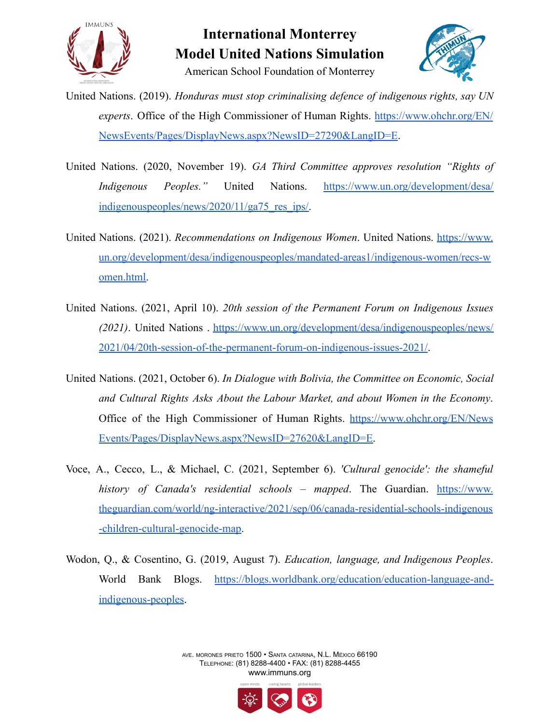

American School Foundation of Monterrey



United Nations. (2019). *Honduras must stop criminalising defence of indigenous rights, say UN experts*. Office of the High Commissioner of Human Rights. [https://www.ohchr.org/EN/](https://www.ohchr.org/EN/NewsEvents/Pages/DisplayNews.aspx?NewsID=27290&LangID=E) [NewsEvents/Pages/DisplayNews.aspx?NewsID=27290&LangID=E](https://www.ohchr.org/EN/NewsEvents/Pages/DisplayNews.aspx?NewsID=27290&LangID=E).

- United Nations. (2020, November 19). *GA Third Committee approves resolution "Rights of Indigenous Peoples."* United Nations. [https://www.un.org/development/desa/](https://www.un.org/development/desa/indigenouspeoples/news/2020/11/ga75_res_ips/) [indigenouspeoples/news/2020/11/ga75\\_res\\_ips/.](https://www.un.org/development/desa/indigenouspeoples/news/2020/11/ga75_res_ips/)
- United Nations. (2021). *Recommendations on Indigenous Women*. United Nations. [https://www.](https://www.un.org/development/desa/indigenouspeoples/mandated-areas1/indigenous-women/recs-women.html) [un.org/development/desa/indigenouspeoples/mandated-areas1/indigenous-women/recs-w](https://www.un.org/development/desa/indigenouspeoples/mandated-areas1/indigenous-women/recs-women.html) [omen.html.](https://www.un.org/development/desa/indigenouspeoples/mandated-areas1/indigenous-women/recs-women.html)
- United Nations. (2021, April 10). *20th session of the Permanent Forum on Indigenous Issues (2021)*. United Nations . [https://www.un.org/development/desa/indigenouspeoples/news/](https://www.un.org/development/desa/indigenouspeoples/news/2021/04/20th-session-of-the-permanent-forum-on-indigenous-issues-2021/) [2021/04/20th-session-of-the-permanent-forum-on-indigenous-issues-2021/.](https://www.un.org/development/desa/indigenouspeoples/news/2021/04/20th-session-of-the-permanent-forum-on-indigenous-issues-2021/)
- United Nations. (2021, October 6). *In Dialogue with Bolivia, the Committee on Economic, Social and Cultural Rights Asks About the Labour Market, and about Women in the Economy*. Office of the High Commissioner of Human Rights. [https://www.ohchr.org/EN/News](https://www.ohchr.org/EN/NewsEvents/Pages/DisplayNews.aspx?NewsID=27620&LangID=E) [Events/Pages/DisplayNews.aspx?NewsID=27620&LangID=E.](https://www.ohchr.org/EN/NewsEvents/Pages/DisplayNews.aspx?NewsID=27620&LangID=E)
- Voce, A., Cecco, L., & Michael, C. (2021, September 6). *'Cultural genocide': the shameful history of Canada's residential schools – mapped*. The Guardian. [https://www.](https://www.theguardian.com/world/ng-interactive/2021/sep/06/canada-residential-schools-indigenous-children-cultural-genocide-map) [theguardian.com/world/ng-interactive/2021/sep/06/canada-residential-schools-indigenous](https://www.theguardian.com/world/ng-interactive/2021/sep/06/canada-residential-schools-indigenous-children-cultural-genocide-map) [-children-cultural-genocide-map.](https://www.theguardian.com/world/ng-interactive/2021/sep/06/canada-residential-schools-indigenous-children-cultural-genocide-map)
- Wodon, Q., & Cosentino, G. (2019, August 7). *Education, language, and Indigenous Peoples*. World Bank Blogs. [https://blogs.worldbank.org/education/education-language-and](https://blogs.worldbank.org/education/education-language-and-indigenous-peoples)[indigenous-peoples](https://blogs.worldbank.org/education/education-language-and-indigenous-peoples).